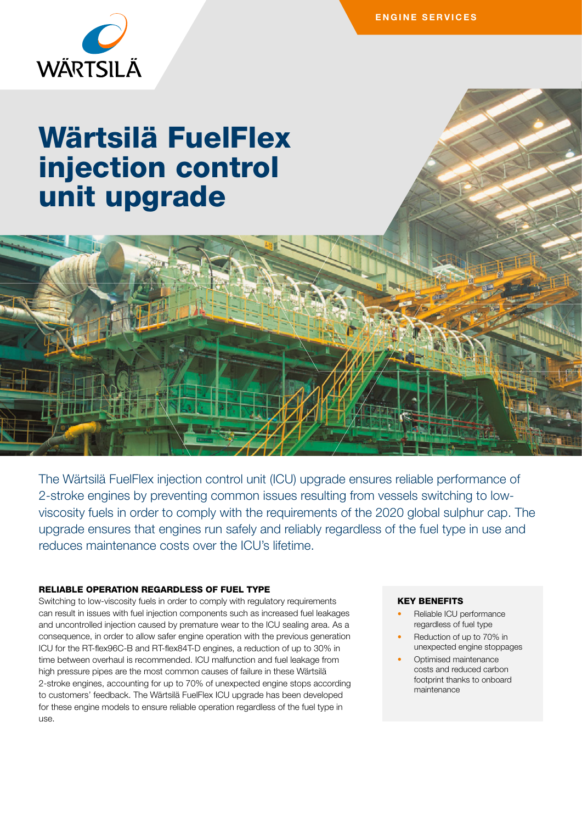

# Wärtsilä FuelFlex injection control unit upgrade

The Wärtsilä FuelFlex injection control unit (ICU) upgrade ensures reliable performance of 2-stroke engines by preventing common issues resulting from vessels switching to lowviscosity fuels in order to comply with the requirements of the 2020 global sulphur cap. The upgrade ensures that engines run safely and reliably regardless of the fuel type in use and reduces maintenance costs over the ICU's lifetime.

#### RELIABLE OPERATION REGARDLESS OF FUEL TYPE

Switching to low-viscosity fuels in order to comply with regulatory requirements can result in issues with fuel injection components such as increased fuel leakages and uncontrolled injection caused by premature wear to the ICU sealing area. As a consequence, in order to allow safer engine operation with the previous generation ICU for the RT-flex96C-B and RT-flex84T-D engines, a reduction of up to 30% in time between overhaul is recommended. ICU malfunction and fuel leakage from high pressure pipes are the most common causes of failure in these Wärtsilä 2-stroke engines, accounting for up to 70% of unexpected engine stops according to customers' feedback. The Wärtsilä FuelFlex ICU upgrade has been developed for these engine models to ensure reliable operation regardless of the fuel type in use.

#### KEY BENEFITS

- Reliable ICU performance regardless of fuel type
- Reduction of up to 70% in unexpected engine stoppages
- Optimised maintenance costs and reduced carbon footprint thanks to onboard maintenance